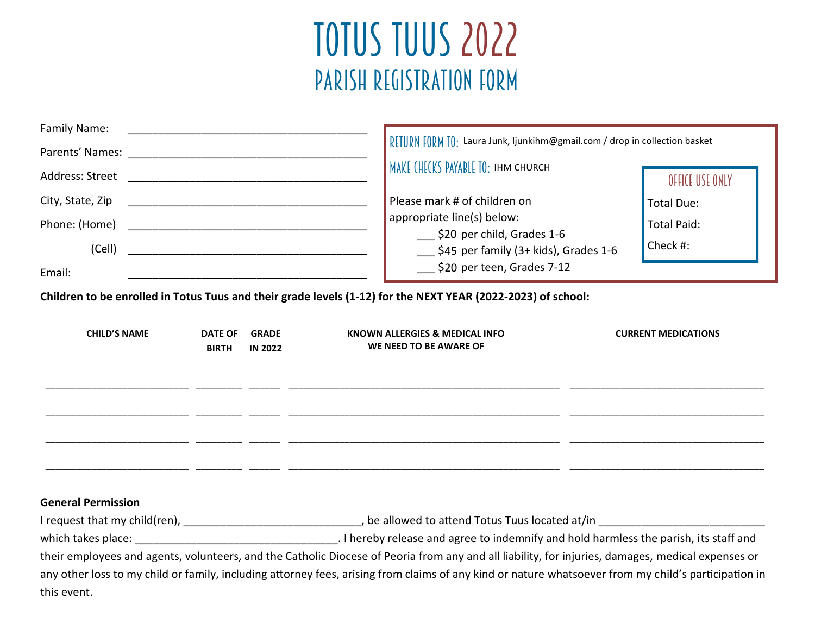# TOTUS TUUS 2022 PARISH REGISTRATION FORM

| Family Name:<br>Address: Street<br>City, State, Zip<br>Phone: (Home)<br>(Cell) |                                |                                | RETURN FORM TO: Laura Junk, Ijunkihm@gmail.com / drop in collection basket<br>MAKE CHECKS PAYABLE TO: IHM CHURCH<br>Please mark # of children on<br>appropriate line(s) below:<br>\$20 per child, Grades 1-6<br>$\frac{1}{2}$ \$45 per family (3+ kids), Grades 1-6                                                                                                                                                                                  | OFFICE USE ONLY<br><b>Total Due:</b><br><b>Total Paid:</b><br>Check #: |
|--------------------------------------------------------------------------------|--------------------------------|--------------------------------|------------------------------------------------------------------------------------------------------------------------------------------------------------------------------------------------------------------------------------------------------------------------------------------------------------------------------------------------------------------------------------------------------------------------------------------------------|------------------------------------------------------------------------|
| Email:                                                                         |                                |                                | \$20 per teen, Grades 7-12<br>Children to be enrolled in Totus Tuus and their grade levels (1-12) for the NEXT YEAR (2022-2023) of school:                                                                                                                                                                                                                                                                                                           |                                                                        |
| <b>CHILD'S NAME</b>                                                            | <b>DATE OF</b><br><b>BIRTH</b> | <b>GRADE</b><br><b>IN 2022</b> | KNOWN ALLERGIES & MEDICAL INFO<br>WE NEED TO BE AWARE OF                                                                                                                                                                                                                                                                                                                                                                                             | <b>CURRENT MEDICATIONS</b>                                             |
| <b>General Permission</b><br>this event.                                       |                                |                                | I request that my child(ren), __________________________________, be allowed to attend Totus Tuus located at/in _______________________<br>their employees and agents, volunteers, and the Catholic Diocese of Peoria from any and all liability, for injuries, damages, medical expenses or<br>any other loss to my child or family, including attorney fees, arising from claims of any kind or nature whatsoever from my child's participation in |                                                                        |